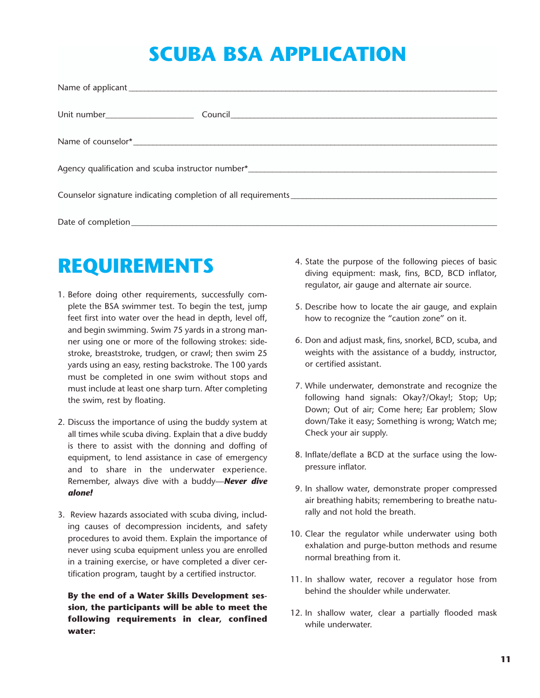## SCUBA BSA APPLICATION

## REQUIREMENTS

- 1. Before doing other requirements, successfully complete the BSA swimmer test. To begin the test, jump feet first into water over the head in depth, level off, and begin swimming. Swim 75 yards in a strong manner using one or more of the following strokes: sidestroke, breaststroke, trudgen, or crawl; then swim 25 yards using an easy, resting backstroke. The 100 yards must be completed in one swim without stops and must include at least one sharp turn. After completing the swim, rest by floating.
- 2. Discuss the importance of using the buddy system at all times while scuba diving. Explain that a dive buddy is there to assist with the donning and doffing of equipment, to lend assistance in case of emergency and to share in the underwater experience. Remember, always dive with a buddy-**Never dive** alone!
- 3. Review hazards associated with scuba diving, including causes of decompression incidents, and safety procedures to avoid them. Explain the importance of never using scuba equipment unless you are enrolled in a training exercise, or have completed a diver certification program, taught by a certified instructor.

By the end of a Water Skills Development session, the participants will be able to meet the following requirements in clear, confined water:

- 4. State the purpose of the following pieces of basic diving equipment: mask, fins, BCD, BCD inflator, regulator, air gauge and alternate air source.
- 5. Describe how to locate the air gauge, and explain how to recognize the "caution zone" on it.
- 6. Don and adjust mask, fins, snorkel, BCD, scuba, and weights with the assistance of a buddy, instructor, or certified assistant.
- 7. While underwater, demonstrate and recognize the following hand signals: Okay?/Okay!; Stop; Up; Down; Out of air; Come here; Ear problem; Slow down/Take it easy; Something is wrong; Watch me; Check your air supply.
- 8. Inflate/deflate a BCD at the surface using the lowpressure inflator.
- 9. In shallow water, demonstrate proper compressed air breathing habits; remembering to breathe naturally and not hold the breath.
- 10. Clear the regulator while underwater using both exhalation and purge-button methods and resume normal breathing from it.
- 11. In shallow water, recover a regulator hose from behind the shoulder while underwater.
- 12. In shallow water, clear a partially flooded mask while underwater.